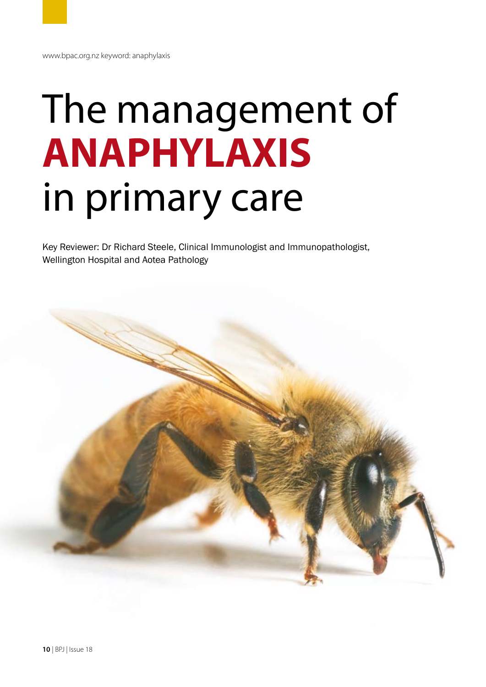# The management of **ANAPHYLAXIS** in primary care

Key Reviewer: Dr Richard Steele, Clinical Immunologist and Immunopathologist, Wellington Hospital and Aotea Pathology

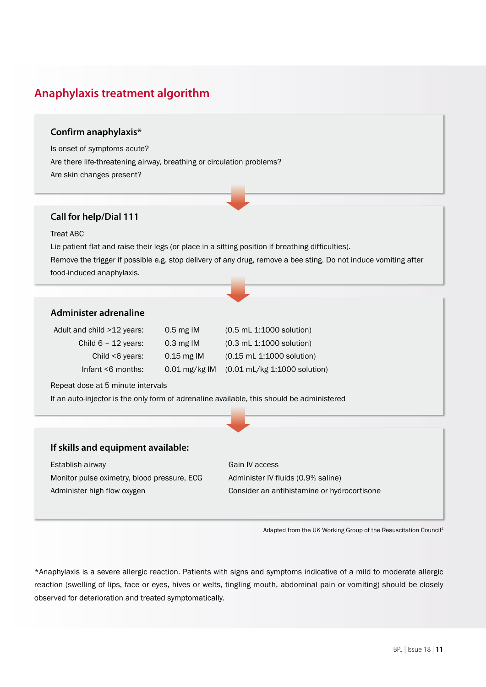# **Anaphylaxis treatment algorithm**

# **Confirm anaphylaxis\***

Is onset of symptoms acute? Are there life-threatening airway, breathing or circulation problems? Are skin changes present?

## **Call for help/Dial 111**

#### Treat ABC

Lie patient flat and raise their legs (or place in a sitting position if breathing difficulties). Remove the trigger if possible e.g. stop delivery of any drug, remove a bee sting. Do not induce vomiting after food-induced anaphylaxis.

# **Administer adrenaline**

| Adult and child >12 years: | $0.5$ mg IM     | $(0.5 \, \text{m}$ L 1:1000 solution) |
|----------------------------|-----------------|---------------------------------------|
| Child $6 - 12$ years:      | $0.3$ mg IM     | $(0.3 \, \text{m}$ L 1:1000 solution) |
| Child $<$ 6 years:         | $0.15$ mg IM    | (0.15 mL 1:1000 solution)             |
| Infant $\leq 6$ months:    | $0.01$ mg/kg IM | (0.01 mL/kg 1:1000 solution)          |

Repeat dose at 5 minute intervals

If an auto-injector is the only form of adrenaline available, this should be administered

## **If skills and equipment available:**

Establish airway Gain IV access Monitor pulse oximetry, blood pressure, ECG Administer IV fluids (0.9% saline) Administer high flow oxygen Consider an antihistamine or hydrocortisone

Adapted from the UK Working Group of the Resuscitation Council1

\*Anaphylaxis is a severe allergic reaction. Patients with signs and symptoms indicative of a mild to moderate allergic reaction (swelling of lips, face or eyes, hives or welts, tingling mouth, abdominal pain or vomiting) should be closely observed for deterioration and treated symptomatically.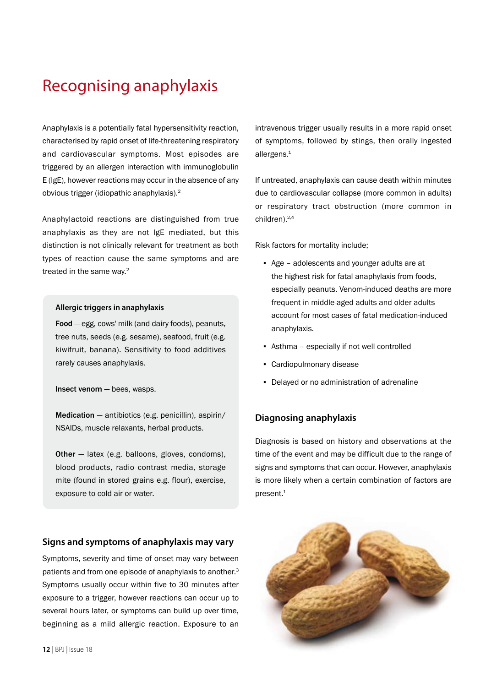# Recognising anaphylaxis

Anaphylaxis is a potentially fatal hypersensitivity reaction, characterised by rapid onset of life-threatening respiratory and cardiovascular symptoms. Most episodes are triggered by an allergen interaction with immunoglobulin E (IgE), however reactions may occur in the absence of any obvious trigger (idiopathic anaphylaxis).2

Anaphylactoid reactions are distinguished from true anaphylaxis as they are not IgE mediated, but this distinction is not clinically relevant for treatment as both types of reaction cause the same symptoms and are treated in the same way.<sup>2</sup>

#### **Allergic triggers in anaphylaxis**

Food — egg, cows' milk (and dairy foods), peanuts, tree nuts, seeds (e.g. sesame), seafood, fruit (e.g. kiwifruit, banana). Sensitivity to food additives rarely causes anaphylaxis.

Insect venom — bees, wasps.

Medication — antibiotics (e.g. penicillin), aspirin/ NSAIDs, muscle relaxants, herbal products.

Other — latex (e.g. balloons, gloves, condoms), blood products, radio contrast media, storage mite (found in stored grains e.g. flour), exercise, exposure to cold air or water.

#### **Signs and symptoms of anaphylaxis may vary**

Symptoms, severity and time of onset may vary between patients and from one episode of anaphylaxis to another.<sup>3</sup> Symptoms usually occur within five to 30 minutes after exposure to a trigger, however reactions can occur up to several hours later, or symptoms can build up over time, beginning as a mild allergic reaction. Exposure to an intravenous trigger usually results in a more rapid onset of symptoms, followed by stings, then orally ingested allergens.<sup>1</sup>

If untreated, anaphylaxis can cause death within minutes due to cardiovascular collapse (more common in adults) or respiratory tract obstruction (more common in children).<sup>2,4</sup>

Risk factors for mortality include;

- Age adolescents and younger adults are at the highest risk for fatal anaphylaxis from foods, especially peanuts. Venom-induced deaths are more frequent in middle-aged adults and older adults account for most cases of fatal medication-induced anaphylaxis.
- Asthma especially if not well controlled
- Cardiopulmonary disease
- Delayed or no administration of adrenaline

### **Diagnosing anaphylaxis**

Diagnosis is based on history and observations at the time of the event and may be difficult due to the range of signs and symptoms that can occur. However, anaphylaxis is more likely when a certain combination of factors are present.<sup>1</sup>

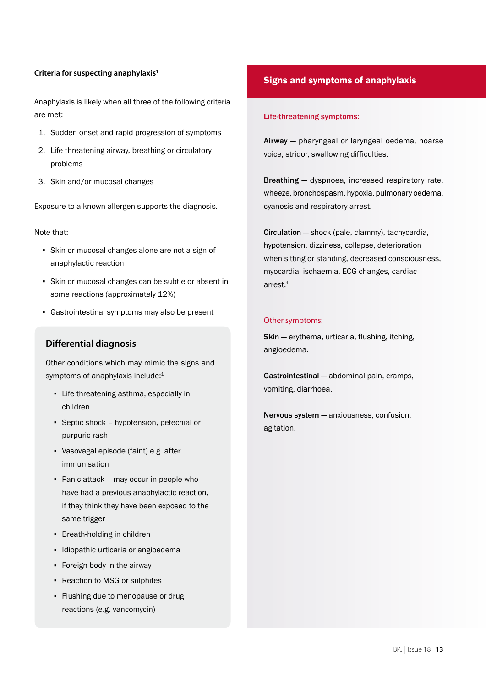#### **Criteria for suspecting anaphylaxis1**

Anaphylaxis is likely when all three of the following criteria are met:

- 1. Sudden onset and rapid progression of symptoms
- 2. Life threatening airway, breathing or circulatory problems
- 3. Skin and/or mucosal changes

Exposure to a known allergen supports the diagnosis.

Note that:

- Skin or mucosal changes alone are not a sign of anaphylactic reaction
- Skin or mucosal changes can be subtle or absent in some reactions (approximately 12%)
- Gastrointestinal symptoms may also be present

# **Differential diagnosis**

Other conditions which may mimic the signs and symptoms of anaphylaxis include:<sup>1</sup>

- Life threatening asthma, especially in children
- Septic shock hypotension, petechial or purpuric rash
- Vasovagal episode (faint) e.g. after immunisation
- Panic attack may occur in people who have had a previous anaphylactic reaction, if they think they have been exposed to the same trigger
- Breath-holding in children
- Idiopathic urticaria or angioedema
- Foreign body in the airway
- Reaction to MSG or sulphites
- Flushing due to menopause or drug reactions (e.g. vancomycin)

# Signs and symptoms of anaphylaxis

#### Life-threatening symptoms:

Airway — pharyngeal or laryngeal oedema, hoarse voice, stridor, swallowing difficulties.

Breathing — dyspnoea, increased respiratory rate, wheeze, bronchospasm, hypoxia, pulmonary oedema, cyanosis and respiratory arrest.

Circulation — shock (pale, clammy), tachycardia, hypotension, dizziness, collapse, deterioration when sitting or standing, decreased consciousness, myocardial ischaemia, ECG changes, cardiac arrest. $1$ 

#### Other symptoms:

Skin - erythema, urticaria, flushing, itching, angioedema.

Gastrointestinal — abdominal pain, cramps, vomiting, diarrhoea.

Nervous system — anxiousness, confusion, agitation.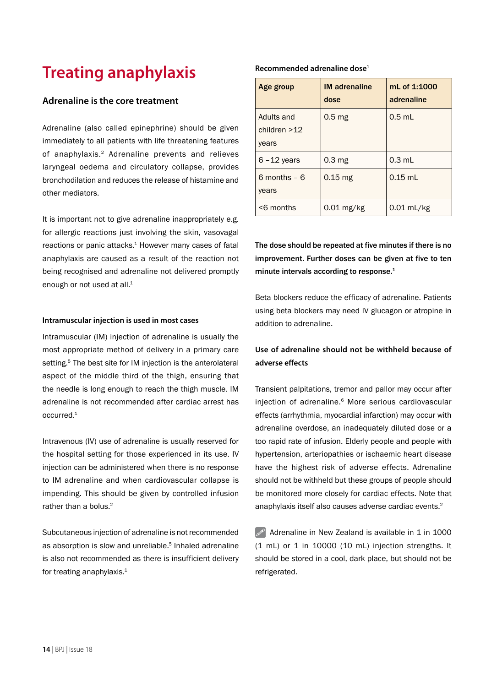# **Treating anaphylaxis**

## **Adrenaline is the core treatment**

Adrenaline (also called epinephrine) should be given immediately to all patients with life threatening features of anaphylaxis.2 Adrenaline prevents and relieves laryngeal oedema and circulatory collapse, provides bronchodilation and reduces the release of histamine and other mediators.

It is important not to give adrenaline inappropriately e.g. for allergic reactions just involving the skin, vasovagal reactions or panic attacks.<sup>1</sup> However many cases of fatal anaphylaxis are caused as a result of the reaction not being recognised and adrenaline not delivered promptly enough or not used at all.<sup>1</sup>

#### **Intramuscular injection is used in most cases**

Intramuscular (IM) injection of adrenaline is usually the most appropriate method of delivery in a primary care setting.<sup>5</sup> The best site for IM injection is the anterolateral aspect of the middle third of the thigh, ensuring that the needle is long enough to reach the thigh muscle. IM adrenaline is not recommended after cardiac arrest has occurred.1

Intravenous (IV) use of adrenaline is usually reserved for the hospital setting for those experienced in its use. IV injection can be administered when there is no response to IM adrenaline and when cardiovascular collapse is impending. This should be given by controlled infusion rather than a holus  $2$ 

Subcutaneous injection of adrenaline is not recommended as absorption is slow and unreliable.<sup>5</sup> Inhaled adrenaline is also not recommended as there is insufficient delivery for treating anaphylaxis. $1$ 

#### **Recommended adrenaline dose1**

| Age group                             | <b>IM</b> adrenaline<br>dose | mL of 1:1000<br>adrenaline |
|---------------------------------------|------------------------------|----------------------------|
| Adults and<br>children $>12$<br>years | 0.5 <sub>mg</sub>            | $0.5$ mL                   |
| $6 - 12$ years                        | 0.3 <sub>mg</sub>            | $0.3$ mL                   |
| $6$ months $-6$<br>years              | $0.15$ mg                    | $0.15$ mL                  |
| <6 months                             | $0.01$ mg/kg                 | $0.01$ mL/kg               |

The dose should be repeated at five minutes if there is no improvement. Further doses can be given at five to ten minute intervals according to response.<sup>1</sup>

Beta blockers reduce the efficacy of adrenaline. Patients using beta blockers may need IV glucagon or atropine in addition to adrenaline.

# **Use of adrenaline should not be withheld because of adverse effects**

Transient palpitations, tremor and pallor may occur after injection of adrenaline.<sup>6</sup> More serious cardiovascular effects (arrhythmia, myocardial infarction) may occur with adrenaline overdose, an inadequately diluted dose or a too rapid rate of infusion. Elderly people and people with hypertension, arteriopathies or ischaemic heart disease have the highest risk of adverse effects. Adrenaline should not be withheld but these groups of people should be monitored more closely for cardiac effects. Note that anaphylaxis itself also causes adverse cardiac events.2

 $\mathscr{P}$  Adrenaline in New Zealand is available in 1 in 1000 (1 mL) or 1 in 10000 (10 mL) injection strengths. It should be stored in a cool, dark place, but should not be refrigerated.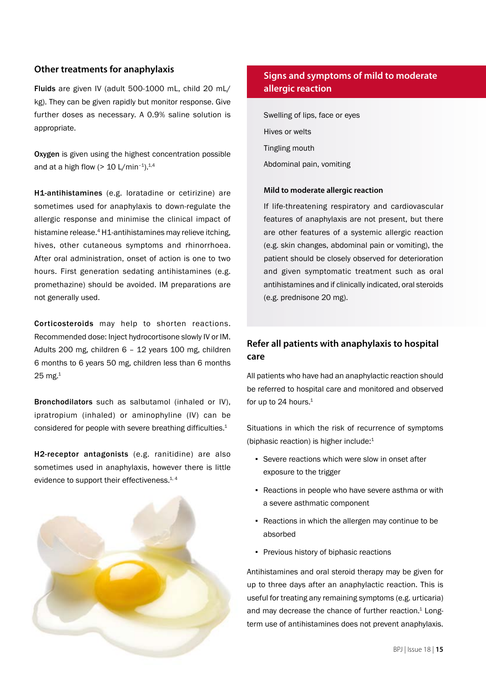# **Other treatments for anaphylaxis**

Fluids are given IV (adult 500-1000 mL, child 20 mL/ kg). They can be given rapidly but monitor response. Give further doses as necessary. A 0.9% saline solution is appropriate.

Oxygen is given using the highest concentration possible and at a high flow  $(> 10 \text{ L/min}^{-1})$ .<sup>1,4</sup>

H1-antihistamines (e.g. loratadine or cetirizine) are sometimes used for anaphylaxis to down-regulate the allergic response and minimise the clinical impact of histamine release.<sup>4</sup> H1-antihistamines may relieve itching, hives, other cutaneous symptoms and rhinorrhoea. After oral administration, onset of action is one to two hours. First generation sedating antihistamines (e.g. promethazine) should be avoided. IM preparations are not generally used.

Corticosteroids may help to shorten reactions. Recommended dose: Inject hydrocortisone slowly IV or IM. Adults 200 mg, children 6 – 12 years 100 mg, children 6 months to 6 years 50 mg, children less than 6 months  $25$  mg.<sup>1</sup>

Bronchodilators such as salbutamol (inhaled or IV), ipratropium (inhaled) or aminophyline (IV) can be considered for people with severe breathing difficulties.1

H2-receptor antagonists (e.g. ranitidine) are also sometimes used in anaphylaxis, however there is little evidence to support their effectiveness.<sup>1, 4</sup>



# **Signs and symptoms of mild to moderate allergic reaction**

Swelling of lips, face or eyes Hives or welts Tingling mouth Abdominal pain, vomiting

#### **Mild to moderate allergic reaction**

If life-threatening respiratory and cardiovascular features of anaphylaxis are not present, but there are other features of a systemic allergic reaction (e.g. skin changes, abdominal pain or vomiting), the patient should be closely observed for deterioration and given symptomatic treatment such as oral antihistamines and if clinically indicated, oral steroids (e.g. prednisone 20 mg).

# **Refer all patients with anaphylaxis to hospital care**

All patients who have had an anaphylactic reaction should be referred to hospital care and monitored and observed for up to 24 hours. $1$ 

Situations in which the risk of recurrence of symptoms (biphasic reaction) is higher include:1

- Severe reactions which were slow in onset after exposure to the trigger
- Reactions in people who have severe asthma or with a severe asthmatic component
- Reactions in which the allergen may continue to be absorbed
- Previous history of biphasic reactions

Antihistamines and oral steroid therapy may be given for up to three days after an anaphylactic reaction. This is useful for treating any remaining symptoms (e.g. urticaria) and may decrease the chance of further reaction.<sup>1</sup> Longterm use of antihistamines does not prevent anaphylaxis.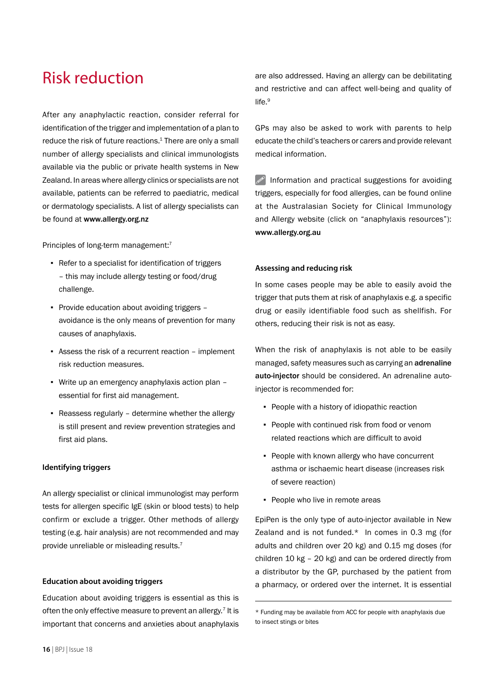# Risk reduction

After any anaphylactic reaction, consider referral for identification of the trigger and implementation of a plan to reduce the risk of future reactions.<sup>1</sup> There are only a small number of allergy specialists and clinical immunologists available via the public or private health systems in New Zealand. In areas where allergy clinics or specialists are not available, patients can be referred to paediatric, medical or dermatology specialists. A list of allergy specialists can be found at www.allergy.org.nz

Principles of long-term management:<sup>7</sup>

- Refer to a specialist for identification of triggers – this may include allergy testing or food/drug challenge.
- Provide education about avoiding triggers avoidance is the only means of prevention for many causes of anaphylaxis.
- Assess the risk of a recurrent reaction implement risk reduction measures.
- Write up an emergency anaphylaxis action plan essential for first aid management.
- Reassess regularly determine whether the allergy is still present and review prevention strategies and first aid plans.

#### **Identifying triggers**

An allergy specialist or clinical immunologist may perform tests for allergen specific IgE (skin or blood tests) to help confirm or exclude a trigger. Other methods of allergy testing (e.g. hair analysis) are not recommended and may provide unreliable or misleading results.<sup>7</sup>

#### **Education about avoiding triggers**

Education about avoiding triggers is essential as this is often the only effective measure to prevent an allergy.<sup>7</sup> It is important that concerns and anxieties about anaphylaxis are also addressed. Having an allergy can be debilitating and restrictive and can affect well-being and quality of life.<sup>9</sup>

GPs may also be asked to work with parents to help educate the child's teachers or carers and provide relevant medical information.

 $\mathscr{P}$  Information and practical suggestions for avoiding triggers, especially for food allergies, can be found online at the Australasian Society for Clinical Immunology and Allergy website (click on "anaphylaxis resources"): www.allergy.org.au

#### **Assessing and reducing risk**

In some cases people may be able to easily avoid the trigger that puts them at risk of anaphylaxis e.g. a specific drug or easily identifiable food such as shellfish. For others, reducing their risk is not as easy.

When the risk of anaphylaxis is not able to be easily managed, safety measures such as carrying an adrenaline auto-injector should be considered. An adrenaline autoinjector is recommended for:

- People with a history of idiopathic reaction
- People with continued risk from food or venom related reactions which are difficult to avoid
- People with known allergy who have concurrent asthma or ischaemic heart disease (increases risk of severe reaction)
- People who live in remote areas

EpiPen is the only type of auto-injector available in New Zealand and is not funded.\* In comes in 0.3 mg (for adults and children over 20 kg) and 0.15 mg doses (for children 10 kg – 20 kg) and can be ordered directly from a distributor by the GP, purchased by the patient from a pharmacy, or ordered over the internet. It is essential

<sup>\*</sup> Funding may be available from ACC for people with anaphylaxis due to insect stings or bites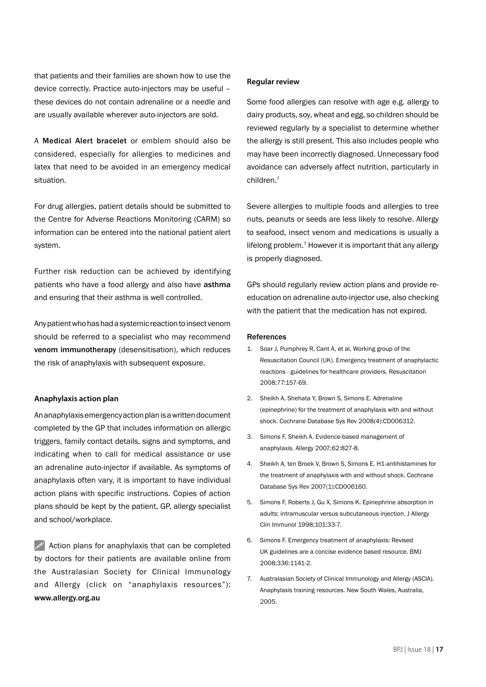that patients and their families are shown how to use the device correctly. Practice auto-injectors may be useful – these devices do not contain adrenaline or a needle and are usually available wherever auto-injectors are sold.

A Medical Alert bracelet or emblem should also be considered, especially for allergies to medicines and latex that need to be avoided in an emergency medical situation.

For drug allergies, patient details should be submitted to the Centre for Adverse Reactions Monitoring (CARM) so information can be entered into the national patient alert system.

Further risk reduction can be achieved by identifying patients who have a food allergy and also have asthma and ensuring that their asthma is well controlled.

Any patient who has had a systemic reaction to insect venom should be referred to a specialist who may recommend venom immunotherapy (desensitisation), which reduces the risk of anaphylaxis with subsequent exposure.

#### **Anaphylaxis action plan**

An anaphylaxis emergency action plan is a written document completed by the GP that includes information on allergic triggers, family contact details, signs and symptoms, and indicating when to call for medical assistance or use an adrenaline auto-injector if available. As symptoms of anaphylaxis often vary, it is important to have individual action plans with specific instructions. Copies of action plans should be kept by the patient, GP, allergy specialist and school/workplace.

 $\mathscr{P}$  Action plans for anaphylaxis that can be completed by doctors for their patients are available online from the Australasian Society for Clinical Immunology and Allergy (click on "anaphylaxis resources"): www.allergy.org.au

#### **Regular review**

Some food allergies can resolve with age e.g. allergy to dairy products, soy, wheat and egg, so children should be reviewed regularly by a specialist to determine whether the allergy is still present. This also includes people who may have been incorrectly diagnosed. Unnecessary food avoidance can adversely affect nutrition, particularly in children.7

Severe allergies to multiple foods and allergies to tree nuts, peanuts or seeds are less likely to resolve. Allergy to seafood, insect venom and medications is usually a lifelong problem.<sup>7</sup> However it is important that any allergy is properly diagnosed.

GPs should regularly review action plans and provide reeducation on adrenaline auto-injector use, also checking with the patient that the medication has not expired.

#### References

- 1. Soar J, Pumphrey R, Cant A, et al, Working group of the Resuscitation Council (UK). Emergency treatment of anaphylactic reactions - guidelines for healthcare providers. Resuscitation 2008;77:157-69.
- 2. Sheikh A, Shehata Y, Brown S, Simons E. Adrenaline (epinephrine) for the treatment of anaphylaxis with and without shock. Cochrane Database Sys Rev 2008(4):CD006312.
- 3. Simons F, Sheikh A. Evidence-based management of anaphylaxis. Allergy 2007;62:827-8.
- 4. Sheikh A, ten Broek V, Brown S, Simons E. H1-antihistamines for the treatment of anaphylaxis with and without shock. Cochrane Database Sys Rev 2007(1):CD006160.
- 5. Simons F, Roberts J, Gu X, Simons K. Epinephrine absorption in adults: intramuscular versus subcutaneous injection. J Allergy Clin Immunol 1998;101:33-7.
- 6. Simons F. Emergency treatment of anaphylaxis: Revised UK guidelines are a concise evidence based resource. BMJ 2008;336:1141-2.
- 7. Australasian Society of Clinical Immunology and Allergy (ASCIA). Anaphylaxis training resources. New South Wales, Australia, 2005.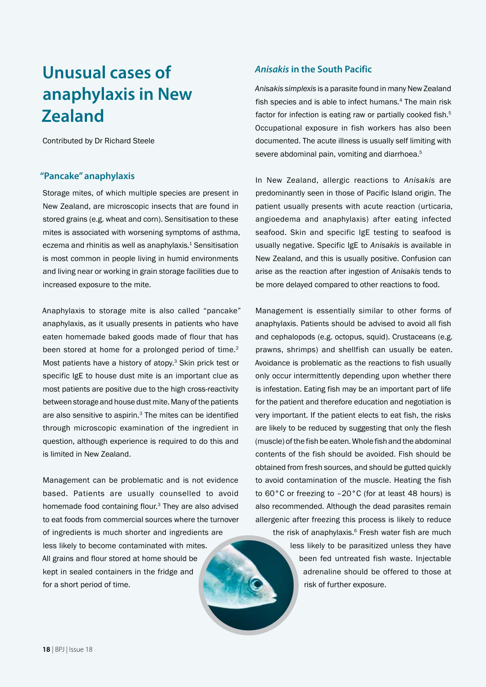# **Unusual cases of anaphylaxis in New Zealand**

Contributed by Dr Richard Steele

## **"Pancake" anaphylaxis**

Storage mites, of which multiple species are present in New Zealand, are microscopic insects that are found in stored grains (e.g. wheat and corn). Sensitisation to these mites is associated with worsening symptoms of asthma, eczema and rhinitis as well as anaphylaxis.<sup>1</sup> Sensitisation is most common in people living in humid environments and living near or working in grain storage facilities due to increased exposure to the mite.

Anaphylaxis to storage mite is also called "pancake" anaphylaxis, as it usually presents in patients who have eaten homemade baked goods made of flour that has been stored at home for a prolonged period of time.<sup>2</sup> Most patients have a history of atopy.<sup>3</sup> Skin prick test or specific IgE to house dust mite is an important clue as most patients are positive due to the high cross-reactivity between storage and house dust mite. Many of the patients are also sensitive to aspirin.<sup>3</sup> The mites can be identified through microscopic examination of the ingredient in question, although experience is required to do this and is limited in New Zealand.

Management can be problematic and is not evidence based. Patients are usually counselled to avoid homemade food containing flour.3 They are also advised to eat foods from commercial sources where the turnover of ingredients is much shorter and ingredients are less likely to become contaminated with mites. All grains and flour stored at home should be kept in sealed containers in the fridge and for a short period of time.

# *Anisakis* **in the South Pacific**

*Anisakis simplexis* is a parasite found in many New Zealand fish species and is able to infect humans.<sup>4</sup> The main risk factor for infection is eating raw or partially cooked fish.<sup>5</sup> Occupational exposure in fish workers has also been documented. The acute illness is usually self limiting with severe abdominal pain, vomiting and diarrhoea.<sup>5</sup>

In New Zealand, allergic reactions to *Anisakis* are predominantly seen in those of Pacific Island origin. The patient usually presents with acute reaction (urticaria, angioedema and anaphylaxis) after eating infected seafood. Skin and specific IgE testing to seafood is usually negative. Specific IgE to *Anisakis* is available in New Zealand, and this is usually positive. Confusion can arise as the reaction after ingestion of *Anisakis* tends to be more delayed compared to other reactions to food.

Management is essentially similar to other forms of anaphylaxis. Patients should be advised to avoid all fish and cephalopods (e.g. octopus, squid). Crustaceans (e.g. prawns, shrimps) and shellfish can usually be eaten. Avoidance is problematic as the reactions to fish usually only occur intermittently depending upon whether there is infestation. Eating fish may be an important part of life for the patient and therefore education and negotiation is very important. If the patient elects to eat fish, the risks are likely to be reduced by suggesting that only the flesh (muscle) of the fish be eaten. Whole fish and the abdominal contents of the fish should be avoided. Fish should be obtained from fresh sources, and should be gutted quickly to avoid contamination of the muscle. Heating the fish to 60°C or freezing to –20°C (for at least 48 hours) is also recommended. Although the dead parasites remain allergenic after freezing this process is likely to reduce the risk of anaphylaxis.<sup>6</sup> Fresh water fish are much less likely to be parasitized unless they have

> been fed untreated fish waste. Injectable adrenaline should be offered to those at risk of further exposure.